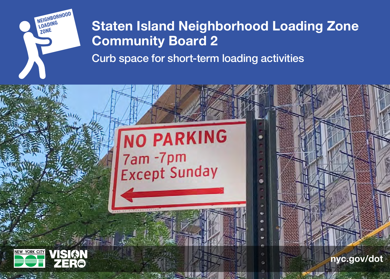

## Staten Island Neighborhood Loading Zone Community Board 2

Curb space for short-term loading activities